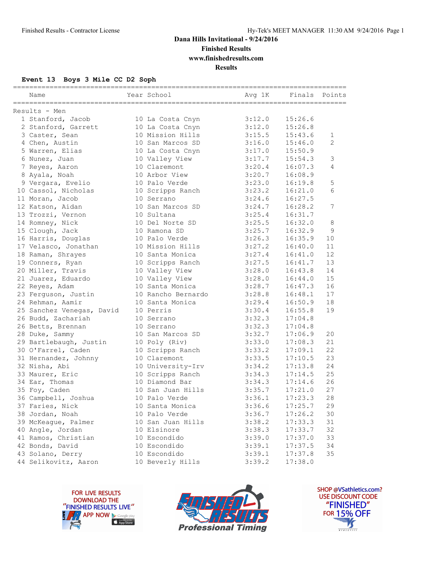### **Dana Hills Invitational - 9/24/2016 Finished Results**

**www.finishedresults.com**

**Results**

### **Event 13 Boys 3 Mile CC D2 Soph**

| Name                      | Year School        | Avg 1K | Finals Points |    |
|---------------------------|--------------------|--------|---------------|----|
| Results - Men             |                    |        |               |    |
| 1 Stanford, Jacob         | 10 La Costa Cnyn   | 3:12.0 | 15:26.6       |    |
| 2 Stanford, Garrett       | 10 La Costa Cnyn   | 3:12.0 | 15:26.8       |    |
| 3 Caster, Sean            | 10 Mission Hills   | 3:15.5 | 15:43.6       | 1  |
| 4 Chen, Austin            | 10 San Marcos SD   | 3:16.0 | 15:46.0       | 2  |
| 5 Warren, Elias           | 10 La Costa Cnyn   | 3:17.0 | 15:50.9       |    |
| 6 Nunez, Juan             | 10 Valley View     | 3:17.7 | 15:54.3       | 3  |
| 7 Reyes, Aaron            | 10 Claremont       | 3:20.4 | 16:07.3       | 4  |
| 8 Ayala, Noah             | 10 Arbor View      | 3:20.7 | 16:08.9       |    |
| 9 Vergara, Evelio         | 10 Palo Verde      | 3:23.0 | 16:19.8       | 5  |
| 10 Cassol, Nicholas       | 10 Scripps Ranch   | 3:23.2 | 16:21.0       | 6  |
| 11 Moran, Jacob           | 10 Serrano         | 3:24.6 | 16:27.5       |    |
| 12 Katson, Aidan          | 10 San Marcos SD   | 3:24.7 | 16:28.2       | 7  |
| 13 Trozzi, Vernon         | 10 Sultana         | 3:25.4 | 16:31.7       |    |
| 14 Romney, Nick           | 10 Del Norte SD    | 3:25.5 | 16:32.0       | 8  |
| 15 Clough, Jack           | 10 Ramona SD       | 3:25.7 | 16:32.9       | 9  |
| 16 Harris, Douglas        | 10 Palo Verde      | 3:26.3 | 16:35.9       | 10 |
| 17 Velasco, Jonathan      | 10 Mission Hills   | 3:27.2 | 16:40.0       | 11 |
| 18 Raman, Shrayes         | 10 Santa Monica    | 3:27.4 | 16:41.0       | 12 |
| 19 Conners, Ryan          | 10 Scripps Ranch   | 3:27.5 | 16:41.7       | 13 |
| 20 Miller, Travis         | 10 Valley View     | 3:28.0 | 16:43.8       | 14 |
| 21 Juarez, Eduardo        | 10 Valley View     | 3:28.0 | 16:44.0       | 15 |
| 22 Reyes, Adam            | 10 Santa Monica    | 3:28.7 | 16:47.3       | 16 |
| 23 Ferguson, Justin       | 10 Rancho Bernardo | 3:28.8 | 16:48.1       | 17 |
| 24 Rehman, Aamir          | 10 Santa Monica    | 3:29.4 | 16:50.9       | 18 |
| 25 Sanchez Venegas, David | 10 Perris          | 3:30.4 | 16:55.8       | 19 |
| 26 Budd, Zachariah        | 10 Serrano         | 3:32.3 | 17:04.8       |    |
| 26 Betts, Brennan         | 10 Serrano         | 3:32.3 | 17:04.8       |    |
| 28 Duke, Sammy            | 10 San Marcos SD   | 3:32.7 | 17:06.9       | 20 |
| 29 Bartlebaugh, Justin    | 10 Poly (Riv)      | 3:33.0 | 17:08.3       | 21 |
| 30 O'Farrel, Caden        | 10 Scripps Ranch   | 3:33.2 | 17:09.1       | 22 |
| 31 Hernandez, Johnny      | 10 Claremont       | 3:33.5 | 17:10.5       | 23 |
| 32 Nisha, Abi             | 10 University-Irv  | 3:34.2 | 17:13.8       | 24 |
| 33 Maurer, Eric           | 10 Scripps Ranch   | 3:34.3 | 17:14.5       | 25 |
| 34 Ear, Thomas            | 10 Diamond Bar     | 3:34.3 | 17:14.6       | 26 |
| 35 Foy, Caden             | 10 San Juan Hills  | 3:35.7 | 17:21.0       | 27 |
| 36 Campbell, Joshua       | 10 Palo Verde      | 3:36.1 | 17:23.3       | 28 |
| 37 Faries, Nick           | 10 Santa Monica    | 3:36.6 | 17:25.7       | 29 |
| 38 Jordan, Noah           | 10 Palo Verde      | 3:36.7 | 17:26.2       | 30 |
| 39 McKeaque, Palmer       | 10 San Juan Hills  | 3:38.2 | 17:33.3       | 31 |
| 40 Angle, Jordan          | 10 Elsinore        | 3:38.3 | 17:33.7       | 32 |
| 41 Ramos, Christian       | 10 Escondido       | 3:39.0 | 17:37.0       | 33 |
| 42 Bonds, David           | 10 Escondido       | 3:39.1 | 17:37.5       | 34 |
| 43 Solano, Derry          | 10 Escondido       | 3:39.1 | 17:37.8       | 35 |
| 44 Selikovitz, Aaron      | 10 Beverly Hills   | 3:39.2 | 17:38.0       |    |





SHOP @VSathletics.com? USE DISCOUNT CODE "FINISHED" **FOR 15% OFF**  $\blacktriangle$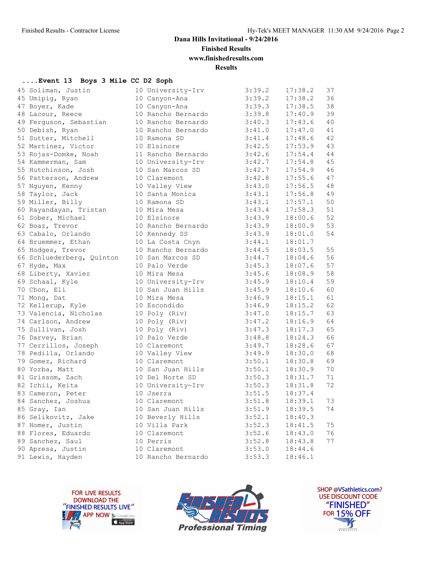**Finished Results**

**www.finishedresults.com**

**Results**

### **....Event 13 Boys 3 Mile CC D2 Soph**

| 45 Soliman, Justin        | 10 University-Irv  | 3:39.2 | 17:38.2 | 37 |
|---------------------------|--------------------|--------|---------|----|
| 45 Umipig, Ryan           | 10 Canyon-Ana      | 3:39.2 | 17:38.2 | 36 |
| 47 Boyer, Kade            | 10 Canyon-Ana      | 3:39.3 | 17:38.5 | 38 |
| 48 Lacour, Reece          | 10 Rancho Bernardo | 3:39.8 | 17:40.9 | 39 |
| 49 Ferguson, Sebastian    | 10 Rancho Bernardo | 3:40.3 | 17:43.6 | 40 |
| 50 Debish, Ryan           | 10 Rancho Bernardo | 3:41.0 | 17:47.0 | 41 |
| 51 Sutter, Mitchell       | 10 Ramona SD       | 3:41.4 | 17:48.6 | 42 |
| 52 Martinez, Victor       | 10 Elsinore        | 3:42.5 | 17:53.9 | 43 |
| 53 Rojas-Domke, Noah      | 11 Rancho Bernardo | 3:42.6 | 17:54.4 | 44 |
| 54 Kammerman, Sam         | 10 University-Irv  | 3:42.7 | 17:54.8 | 45 |
| 55 Hutchinson, Josh       | 10 San Marcos SD   | 3:42.7 | 17:54.9 | 46 |
| 56 Patterson, Andrew      | 10 Claremont       | 3:42.8 | 17:55.6 | 47 |
| 57 Nguyen, Kenny          | 10 Valley View     | 3:43.0 | 17:56.5 | 48 |
| 58 Taylor, Jack           | 10 Santa Monica    | 3:43.1 | 17:56.8 | 49 |
| 59 Miller, Billy          | 10 Ramona SD       | 3:43.1 | 17:57.1 | 50 |
| 60 Rayandayan, Tristan    | 10 Mira Mesa       | 3:43.4 | 17:58.3 | 51 |
| 61 Sober, Michael         | 10 Elsinore        | 3:43.9 | 18:00.6 | 52 |
| 62 Boaz, Trevor           | 10 Rancho Bernardo | 3:43.9 | 18:00.9 | 53 |
| 63 Cabalo, Orlando        | 10 Kennedy SS      | 3:43.9 | 18:01.0 | 54 |
| 64 Bruemmer, Ethan        | 10 La Costa Cnyn   | 3:44.1 | 18:01.7 |    |
| 65 Hodges, Trevor         | 10 Rancho Bernardo | 3:44.5 | 18:03.5 | 55 |
| 66 Schluederberg, Quinton | 10 San Marcos SD   | 3:44.7 | 18:04.6 | 56 |
| 67 Hyde, Max              | 10 Palo Verde      | 3:45.3 | 18:07.6 | 57 |
| 68 Liberty, Xavier        | 10 Mira Mesa       | 3:45.6 | 18:08.9 | 58 |
| 69 Schaal, Kyle           | 10 University-Irv  | 3:45.9 | 18:10.4 | 59 |
| 70 Chon, Eli              | 10 San Juan Hills  | 3:45.9 | 18:10.6 | 60 |
| 71 Mong, Dat              | 10 Mira Mesa       | 3:46.9 | 18:15.1 | 61 |
| 72 Kellerup, Kyle         | 10 Escondido       | 3:46.9 | 18:15.2 | 62 |
| 73 Valencia, Nicholas     | 10 Poly (Riv)      | 3:47.0 | 18:15.7 | 63 |
| 74 Carlson, Andrew        | 10 Poly (Riv)      | 3:47.2 | 18:16.9 | 64 |
| 75 Sullivan, Josh         | 10 Poly (Riv)      | 3:47.3 | 18:17.3 | 65 |
| 76 Darvey, Brian          | 10 Palo Verde      | 3:48.8 | 18:24.3 | 66 |
| 77 Cerrillos, Joseph      | 10 Claremont       | 3:49.7 | 18:28.6 | 67 |
| 78 Pedilla, Orlando       | 10 Valley View     | 3:49.9 | 18:30.0 | 68 |
| 79 Gomez, Richard         | 10 Claremont       | 3:50.1 | 18:30.8 | 69 |
| 80 Yorba, Matt            | 10 San Juan Hills  | 3:50.1 | 18:30.9 | 70 |
| 81 Grissom, Zach          | 10 Del Norte SD    | 3:50.3 | 18:31.7 | 71 |
| 82 Ichii, Keita           | 10 University-Irv  | 3:50.3 | 18:31.8 | 72 |
| 83 Cameron, Peter         | 10 Jserra          | 3:51.5 | 18:37.4 |    |
| 84 Sanchez, Joshua        | 10 Claremont       | 3:51.8 | 18:39.1 | 73 |
| 85 Gray, Ian              | 10 San Juan Hills  | 3:51.9 | 18:39.5 | 74 |
| 86 Selikovitz, Jake       | 10 Beverly Hills   | 3:52.1 | 18:40.3 |    |
| 87 Homer, Justin          | 10 Villa Park      | 3:52.3 | 18:41.5 | 75 |
| 88 Flores, Eduardo        | 10 Claremont       | 3:52.6 | 18:43.0 | 76 |
| 89 Sanchez, Saul          | 10 Perris          | 3:52.8 | 18:43.8 | 77 |
| 90 Apresa, Justin         | 10 Claremont       | 3:53.0 | 18:44.6 |    |
| 91 Lewis, Hayden          | 10 Rancho Bernardo | 3:53.3 | 18:46.1 |    |
|                           |                    |        |         |    |





SHOP @VSathletics.com? **USE DISCOUNT CODE** "FINISHED" **FOR 15% OFF**  $\frac{1}{\sqrt{2}}$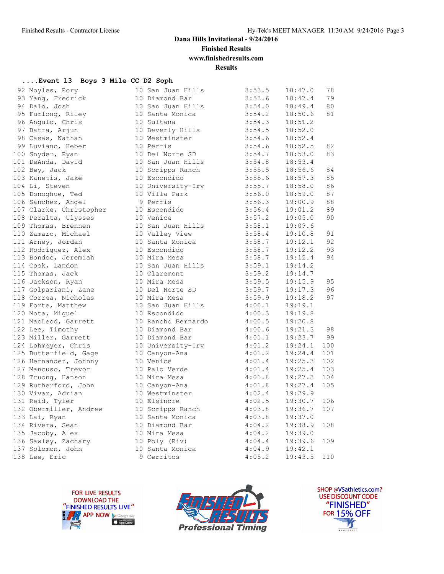**Finished Results**

**www.finishedresults.com**

**Results**

### **....Event 13 Boys 3 Mile CC D2 Soph**

| 92 Moyles, Rory         | 10 San Juan Hills  | 3:53.5 | 18:47.0 | 78  |
|-------------------------|--------------------|--------|---------|-----|
| 93 Yang, Fredrick       | 10 Diamond Bar     | 3:53.6 | 18:47.4 | 79  |
| 94 Dalo, Josh           | 10 San Juan Hills  | 3:54.0 | 18:49.4 | 80  |
| 95 Furlong, Riley       | 10 Santa Monica    | 3:54.2 | 18:50.6 | 81  |
| 96 Angulo, Chris        | 10 Sultana         | 3:54.3 | 18:51.2 |     |
| 97 Batra, Arjun         | 10 Beverly Hills   | 3:54.5 | 18:52.0 |     |
| 98 Casas, Nathan        | 10 Westminster     | 3:54.6 | 18:52.4 |     |
| 99 Luviano, Heber       | 10 Perris          | 3:54.6 | 18:52.5 | 82  |
| 100 Snyder, Ryan        | 10 Del Norte SD    | 3:54.7 | 18:53.0 | 83  |
| 101 DeAnda, David       | 10 San Juan Hills  | 3:54.8 | 18:53.4 |     |
| 102 Bey, Jack           | 10 Scripps Ranch   | 3:55.5 | 18:56.6 | 84  |
| 103 Kanetis, Jake       | 10 Escondido       | 3:55.6 | 18:57.3 | 85  |
| 104 Li, Steven          | 10 University-Irv  | 3:55.7 | 18:58.0 | 86  |
| 105 Donoghue, Ted       | 10 Villa Park      | 3:56.0 | 18:59.0 | 87  |
| 106 Sanchez, Angel      | 9 Perris           | 3:56.3 | 19:00.9 | 88  |
| 107 Clarke, Christopher | 10 Escondido       | 3:56.4 | 19:01.2 | 89  |
| 108 Peralta, Ulysses    | 10 Venice          | 3:57.2 | 19:05.0 | 90  |
| 109 Thomas, Brennen     | 10 San Juan Hills  | 3:58.1 | 19:09.6 |     |
| 110 Zamaro, Michael     | 10 Valley View     | 3:58.4 | 19:10.8 | 91  |
| 111 Arney, Jordan       | 10 Santa Monica    | 3:58.7 | 19:12.1 | 92  |
| 112 Rodriguez, Alex     | 10 Escondido       | 3:58.7 | 19:12.2 | 93  |
| 113 Bondoc, Jeremiah    | 10 Mira Mesa       | 3:58.7 | 19:12.4 | 94  |
| 114 Cook, Landon        | 10 San Juan Hills  | 3:59.1 | 19:14.2 |     |
| 115 Thomas, Jack        | 10 Claremont       | 3:59.2 | 19:14.7 |     |
| 116 Jackson, Ryan       | 10 Mira Mesa       | 3:59.5 | 19:15.9 | 95  |
| 117 Golpariani, Zane    | 10 Del Norte SD    | 3:59.7 | 19:17.3 | 96  |
| 118 Correa, Nicholas    | 10 Mira Mesa       | 3:59.9 | 19:18.2 | 97  |
| 119 Forte, Matthew      | 10 San Juan Hills  | 4:00.1 | 19:19.1 |     |
| 120 Mota, Miquel        | 10 Escondido       | 4:00.3 | 19:19.8 |     |
| 121 MacLeod, Garrett    | 10 Rancho Bernardo | 4:00.5 | 19:20.8 |     |
| 122 Lee, Timothy        | 10 Diamond Bar     | 4:00.6 | 19:21.3 | 98  |
| 123 Miller, Garrett     | 10 Diamond Bar     | 4:01.1 | 19:23.7 | 99  |
| 124 Lohmeyer, Chris     | 10 University-Irv  | 4:01.2 | 19:24.1 | 100 |
| 125 Butterfield, Gage   | 10 Canyon-Ana      | 4:01.2 | 19:24.4 | 101 |
| 126 Hernandez, Johnny   | 10 Venice          | 4:01.4 | 19:25.3 | 102 |
| 127 Mancuso, Trevor     | 10 Palo Verde      | 4:01.4 | 19:25.4 | 103 |
| 128 Truong, Hanson      | 10 Mira Mesa       | 4:01.8 | 19:27.3 | 104 |
| 129 Rutherford, John    | 10 Canyon-Ana      | 4:01.8 | 19:27.4 | 105 |
| 130 Vivar, Adrian       | 10 Westminster     | 4:02.4 | 19:29.9 |     |
| 131 Reid, Tyler         | 10 Elsinore        | 4:02.5 | 19:30.7 | 106 |
| 132 Obermiller, Andrew  | 10 Scripps Ranch   | 4:03.8 | 19:36.7 | 107 |
| 133 Lai, Ryan           | 10 Santa Monica    | 4:03.8 | 19:37.0 |     |
| 134 Rivera, Sean        | 10 Diamond Bar     | 4:04.2 | 19:38.9 | 108 |
| 135 Jacoby, Alex        | 10 Mira Mesa       | 4:04.2 | 19:39.0 |     |
| 136 Sawley, Zachary     | 10 Poly (Riv)      | 4:04.4 | 19:39.6 | 109 |
| 137 Solomon, John       | 10 Santa Monica    | 4:04.9 | 19:42.1 |     |
| 138 Lee, Eric           | 9 Cerritos         | 4:05.2 | 19:43.5 | 110 |
|                         |                    |        |         |     |





SHOP @VSathletics.com? USE DISCOUNT CODE "FINISHED" **FOR 15% OFF** IS  $\frac{1}{\sqrt{18161161}}$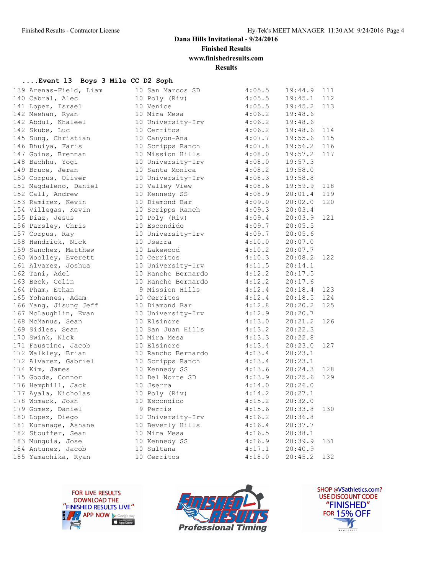**Finished Results**

**www.finishedresults.com**

**Results**

### **....Event 13 Boys 3 Mile CC D2 Soph**

| 139 Arenas-Field, Liam | 10 San Marcos SD   | 4:05.5 | 19:44.9 | 111 |
|------------------------|--------------------|--------|---------|-----|
| 140 Cabral, Alec       | 10 Poly (Riv)      | 4:05.5 | 19:45.1 | 112 |
| 141 Lopez, Israel      | 10 Venice          | 4:05.5 | 19:45.2 | 113 |
| 142 Meehan, Ryan       | 10 Mira Mesa       | 4:06.2 | 19:48.6 |     |
| 142 Abdul, Khaleel     | 10 University-Irv  | 4:06.2 | 19:48.6 |     |
| 142 Skube, Luc         | 10 Cerritos        | 4:06.2 | 19:48.6 | 114 |
| 145 Sung, Christian    | 10 Canyon-Ana      | 4:07.7 | 19:55.6 | 115 |
| 146 Bhuiya, Faris      | 10 Scripps Ranch   | 4:07.8 | 19:56.2 | 116 |
| 147 Goins, Brennan     | 10 Mission Hills   | 4:08.0 | 19:57.2 | 117 |
| 148 Bachhu, Yogi       | 10 University-Irv  | 4:08.0 | 19:57.3 |     |
| 149 Bruce, Jeran       | 10 Santa Monica    | 4:08.2 | 19:58.0 |     |
| 150 Corpus, Oliver     | 10 University-Irv  | 4:08.3 | 19:58.8 |     |
| 151 Magdaleno, Daniel  | 10 Valley View     | 4:08.6 | 19:59.9 | 118 |
| 152 Call, Andrew       | 10 Kennedy SS      | 4:08.9 | 20:01.4 | 119 |
| 153 Ramirez, Kevin     | 10 Diamond Bar     | 4:09.0 | 20:02.0 | 120 |
| 154 Villegas, Kevin    | 10 Scripps Ranch   | 4:09.3 | 20:03.4 |     |
| 155 Diaz, Jesus        | 10 Poly (Riv)      | 4:09.4 | 20:03.9 | 121 |
| 156 Parsley, Chris     | 10 Escondido       | 4:09.7 | 20:05.5 |     |
| 157 Corpus, Ray        | 10 University-Irv  | 4:09.7 | 20:05.6 |     |
| 158 Hendrick, Nick     | 10 Jserra          | 4:10.0 | 20:07.0 |     |
| 159 Sanchez, Matthew   | 10 Lakewood        | 4:10.2 | 20:07.7 |     |
| 160 Woolley, Everett   | 10 Cerritos        | 4:10.3 | 20:08.2 | 122 |
| 161 Alvarez, Joshua    | 10 University-Irv  | 4:11.5 | 20:14.1 |     |
| 162 Tani, Adel         | 10 Rancho Bernardo | 4:12.2 | 20:17.5 |     |
| 163 Beck, Colin        | 10 Rancho Bernardo | 4:12.2 | 20:17.6 |     |
| 164 Pham, Ethan        | 9 Mission Hills    | 4:12.4 | 20:18.4 | 123 |
| 165 Yohannes, Adam     | 10 Cerritos        | 4:12.4 | 20:18.5 | 124 |
| 166 Yang, Jisung Jeff  | 10 Diamond Bar     | 4:12.8 | 20:20.2 | 125 |
| 167 McLaughlin, Evan   | 10 University-Irv  | 4:12.9 | 20:20.7 |     |
| 168 McManus, Sean      | 10 Elsinore        | 4:13.0 | 20:21.2 | 126 |
| 169 Sidles, Sean       | 10 San Juan Hills  | 4:13.2 | 20:22.3 |     |
| 170 Swink, Nick        | 10 Mira Mesa       | 4:13.3 | 20:22.8 |     |
| 171 Faustino, Jacob    | 10 Elsinore        | 4:13.4 | 20:23.0 | 127 |
| 172 Walkley, Brian     | 10 Rancho Bernardo | 4:13.4 | 20:23.1 |     |
| 172 Alvarez, Gabriel   | 10 Scripps Ranch   | 4:13.4 | 20:23.1 |     |
| 174 Kim, James         | 10 Kennedy SS      | 4:13.6 | 20:24.3 | 128 |
| 175 Goode, Connor      | 10 Del Norte SD    | 4:13.9 | 20:25.6 | 129 |
| 176 Hemphill, Jack     | 10 Jserra          | 4:14.0 | 20:26.0 |     |
| 177 Ayala, Nicholas    | 10 Poly (Riv)      | 4:14.2 | 20:27.1 |     |
| 178 Womack, Josh       | 10 Escondido       | 4:15.2 | 20:32.0 |     |
| 179 Gomez, Daniel      | 9 Perris           | 4:15.6 | 20:33.8 | 130 |
| 180 Lopez, Diego       | 10 University-Irv  | 4:16.2 | 20:36.8 |     |
| 181 Kuranage, Ashane   | 10 Beverly Hills   | 4:16.4 | 20:37.7 |     |
| 182 Stouffer, Sean     | 10 Mira Mesa       | 4:16.5 | 20:38.1 |     |
| 183 Munguia, Jose      | 10 Kennedy SS      | 4:16.9 | 20:39.9 | 131 |
| 184 Antunez, Jacob     | 10 Sultana         | 4:17.1 | 20:40.9 |     |
| 185 Yamachika, Ryan    | 10 Cerritos        | 4:18.0 | 20:45.2 | 132 |





SHOP @VSathletics.com? USE DISCOUNT CODE "FINISHED" **FOR 15% OFF** IS  $\frac{1}{\sqrt{18161161}}$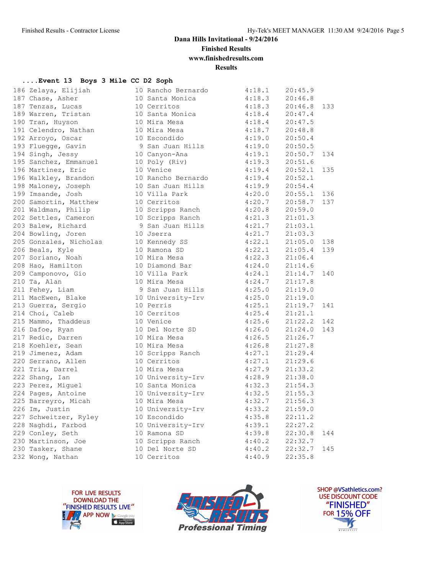**Finished Results**

**www.finishedresults.com**

**Results**

#### **....Event 13 Boys 3 Mile CC D2 Soph**

| 186 Zelaya, Elijiah                                           | 10 Rancho Bernardo                                                                | 4:18.1                                   | 20:45.9     |     |
|---------------------------------------------------------------|-----------------------------------------------------------------------------------|------------------------------------------|-------------|-----|
| 187 Chase, Asher                                              | 10 Santa Monica<br>10 Cerritos                                                    | 4:18.3                                   | 20:46.8     |     |
| 187 Tenzas, Lucas                                             |                                                                                   | 4:18.3                                   | 20:46.8     | 133 |
| 189 Warren, Tristan 10 Santa Monica                           |                                                                                   | 4:18.4                                   | 20:47.4     |     |
| 190 Tran, Huyson                                              | 10 Mira Mesa                                                                      |                                          | 20:47.5     |     |
| 191 Celendro, Nathan                                          | 10 Mira Mesa                                                                      | $4:18.4$<br>$4:18.7$                     | 20:48.8     |     |
| 192 Arroyo, Oscar                                             | 10 Escondido                                                                      | 4:19.0                                   | 20:50.4     |     |
| 193 Fluegge, Gavin                                            | 9 San Juan Hills                                                                  | 4:19.0                                   | 20:50.5     |     |
| 10 Canyon-Ana<br>194 Singh, Jessy                             |                                                                                   | 4:19.1                                   | 20:50.7     | 134 |
| --- - - - .<br>195 Sanchez, Emmanuel<br>196 Martinez, Eric    | 10 Poly (Riv)<br>10 Veries                                                        | 4:19.3                                   | 20:51.6     |     |
| 196 Martinez, Eric                                            | 10 Venice                                                                         | 4:19.4                                   | 20:52.1     | 135 |
| 196 Walkley, Brandon                                          | 10 Rancho Bernardo                                                                | 4:19.4                                   | 20:52.1     |     |
| 198 Maloney, Joseph                                           | 10 San Juan Hills                                                                 | 4:19.9                                   | 20:54.4     |     |
| 199 Imsande, Josh                                             | 10 Villa Park                                                                     | 4:20.0                                   | 20:55.1     | 136 |
| 200 Samortin, Matthew<br>201 Waldman, Philip                  | 10 Cerritos                                                                       |                                          | 20:58.7     | 137 |
|                                                               | 10 Scripps Ranch                                                                  | $4:20.7$<br>$4:20.8$                     | 20:59.0     |     |
| 202 Settles, Cameron 10 Scripps Ranch                         |                                                                                   | 4:21.3                                   | 21:01.3     |     |
| 203 Balew, Richard                                            | 9 San Juan Hills                                                                  | 4:21.7                                   | 21:03.1     |     |
| 204 Bowling, Joren                                            | 10 Jserra                                                                         | 4:21.7                                   | 21:03.3     |     |
| 204 Dowllow,<br>205 Gonzales, Nicholas<br>106 Dollar Kyle     | 10 Kennedy SS<br>10 Ramona SD                                                     | 4:22.1                                   | 21:05.0     | 138 |
| 206 Beals, Kyle                                               | 10 Ramona SD                                                                      | 4:22.1                                   | 21:05.4     | 139 |
| 207 Soriano, Noah<br>208 Hao, Hamilton                        | 10 Mira Mesa                                                                      | 4:22.3                                   | 21:06.4     |     |
| 208 Hao, Hamilton                                             | 10 Mira Mesa<br>10 Diamond Bar                                                    | 4:24.0                                   | 21:14.6     |     |
| 209 Camponovo, Gio                                            | 10 Villa Park                                                                     | 4:24.1                                   | 21:14.7     | 140 |
| 210 Ta, Alan                                                  | 10 Mira Mesa                                                                      | 4:24.7                                   | 21:17.8     |     |
| 211 Fehey, Liam                                               | 9 San Juan Hills                                                                  | 4:25.0                                   | 21:19.0     |     |
|                                                               | 10 University-Irv                                                                 | 4:25.0                                   | 21:19.0     |     |
| 211 MacEwen, Blake<br>213 Guerra, Sergio<br>214 Choi Caleb    | 10 Perris                                                                         | 4:25.1                                   | 21:19.7 141 |     |
| 214 Choi, Caleb                                               | 10 Cerritos                                                                       | 4:25.4                                   | 21:21.1     |     |
| -<br>215 Mammo, Thaddeus<br>216 Dafoe, Ryan                   | 10 Venice                                                                         | 4:25.6                                   | 21:22.2     | 142 |
|                                                               | 10 Del Norte SD                                                                   | 4:26.0                                   | 21:24.0     | 143 |
| 210 11 .<br>217 Redic, Darren<br><sup>019 Koabler,</sup> Sean | 10 Mira Mesa                                                                      |                                          | 21:26.7     |     |
|                                                               | 10 Mira Mesa                                                                      | $4:26.5$<br>$4:26.8$                     | 21:27.8     |     |
| 219 Jimenez, Adam                                             | 10 Scripps Ranch                                                                  | 4:27.1                                   | 21:29.4     |     |
| 219 Ulmol.<br>220 Serrano, Allen<br>201 Tiin Darrel           | 10 Cerritos                                                                       | 4:27.1                                   | 21:29.6     |     |
|                                                               | 10 Mira Mesa                                                                      | 4:27.9                                   | 21:33.2     |     |
| 222 Shang, Ian                                                | 10 University-Irv                                                                 | 4:28.9                                   | 21:38.0     |     |
| 223 Perez, Miguel                                             | 10 Santa Monica                                                                   | 4:32.3                                   | 21:54.3     |     |
| 224 Pages, Antoine                                            | 10 University-Irv                                                                 |                                          | 21:55.3     |     |
| 225 Barreyro, Micah                                           | 10 Mira Mesa                                                                      | $4:32.5$<br>$4:32.7$                     | 21:56.3     |     |
| 226 Im, Justin                                                | 10 University-Irv                                                                 | 4:33.2                                   | 21:59.0     |     |
| 227 Schweitzer, Ryley                                         | 10 Escondido                                                                      | 4:35.8                                   | 22:11.2     |     |
| 228 Naghdi, Farbod                                            | 10 University-Irv 4:39.1                                                          |                                          | 22:27.2     |     |
| 229 Conley, Seth                                              | 10 Ramona SD                                                                      |                                          |             | 144 |
| 223 Company<br>230 Martinson, Joe<br>230 Tasker, Shane        | 10 Scripps Ranch                                                                  | $4:39.8$ $22:30.8$<br>$4:40.2$ $22:32.7$ |             |     |
|                                                               | 10 Settings Randi<br>10 Del Norte SD 4:40.2 22:32.7<br>10 Cerritos 4:40.9 22:35.8 |                                          |             | 145 |
| 232 Wong, Nathan                                              |                                                                                   |                                          |             |     |
|                                                               |                                                                                   |                                          |             |     |





SHOP @VSathletics.com? USE DISCOUNT CODE "FINISHED" **FOR 15% OFF** IS  $\frac{1}{\sqrt{18161161}}$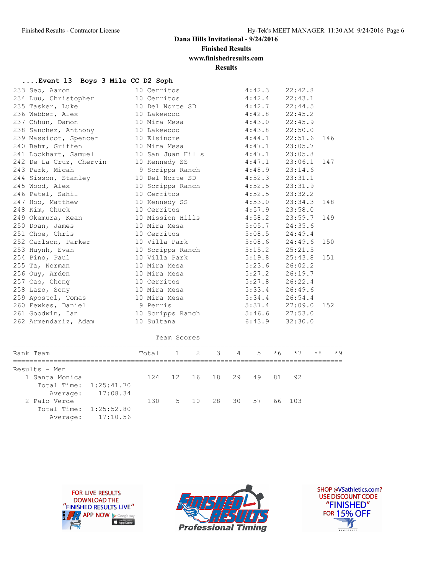**Finished Results**

# **www.finishedresults.com**

**Results**

| Event 13 Boys 3 Mile CC D2 Soph |  |  |  |  |  |  |  |
|---------------------------------|--|--|--|--|--|--|--|
|---------------------------------|--|--|--|--|--|--|--|

| 233 Seo, Aaron          | 10 Cerritos                       | 4:42.3             | 22:42.8 |     |
|-------------------------|-----------------------------------|--------------------|---------|-----|
| 234 Luu, Christopher    | 10 Cerritos                       | $4:42.4$ $22:43.1$ |         |     |
| 235 Tasker, Luke        | 10 Del Norte SD                   | $4:42.7$ 22:44.5   |         |     |
| 236 Webber, Alex        | 10 Lakewood                       | $4:42.8$ 22:45.2   |         |     |
| 237 Chhun, Damon        | 10 Mira Mesa                      | $4:43.0$ $22:45.9$ |         |     |
| 238 Sanchez, Anthony    | 10 Lakewood                       | $4:43.8$ 22:50.0   |         |     |
| 239 Massicot, Spencer   | 10 Elsinore                       | $4:44.1$ $22:51.6$ |         | 146 |
| 240 Behm, Griffen       | 10 Mira Mesa                      | $4:47.1$ 23:05.7   |         |     |
| 241 Lockhart, Samuel    | 10 San Juan Hills                 | $4:47.1$ 23:05.8   |         |     |
| 242 De La Cruz, Chervin | 10 Kennedy SS<br>$4:47.1$ 23:06.1 |                    |         | 147 |
| 243 Park, Micah         | 9 Scripps Ranch                   | $4:48.9$ $23:14.6$ |         |     |
| 244 Sisson, Stanley     | 10 Del Norte SD 4:52.3 23:31.1    |                    |         |     |
| 245 Wood, Alex          | 10 Scripps Ranch 4:52.5 23:31.9   |                    |         |     |
| 246 Patel, Sahil        | 10 Cerritos<br>$4:52.5$ 23:32.2   |                    |         |     |
| 247 Hoo, Matthew        | 10 Kennedy SS                     | $4:53.0$ 23:34.3   |         | 148 |
| 248 Kim, Chuck          | 10 Cerritos                       | $4:57.9$ 23:58.0   |         |     |
| 249 Okemura, Kean       | 10 Mission Hills 4:58.2 23:59.7   |                    |         | 149 |
| 250 Doan, James         | $5:05.7$ 24:35.6<br>10 Mira Mesa  |                    |         |     |
| 251 Choe, Chris         | 10 Cerritos                       | $5:08.5$ 24:49.4   |         |     |
| 252 Carlson, Parker     | 10 Villa Park                     | $5:08.6$ 24:49.6   |         | 150 |
| 253 Huynh, Evan         | 10 Scripps Ranch 5:15.2 25:21.5   |                    |         |     |
| 254 Pino, Paul          | 10 Villa Park 5:19.8 25:43.8      |                    |         | 151 |
| 255 Ta, Norman          | 10 Mira Mesa                      | 5:23.6             | 26:02.2 |     |
| 256 Quy, Arden          | 10 Mira Mesa                      | 5:27.2             | 26:19.7 |     |
| 257 Cao, Chong          | 10 Cerritos                       | $5:27.8$ $26:22.4$ |         |     |
| 258 Lazo, Sony          | 10 Mira Mesa                      | $5:33.4$ $26:49.6$ |         |     |
| 259 Apostol, Tomas      | 10 Mira Mesa                      | $5:34.4$ $26:54.4$ |         |     |
| 260 Fewkes, Daniel      | 9 Perris                          | $5:37.4$ $27:09.0$ |         | 152 |
| 261 Goodwin, Ian        | 10 Scripps Ranch                  | $5:46.6$ 27:53.0   |         |     |
| 262 Armendariz, Adam    | 10 Sultana                        | 6:43.9             | 32:30.0 |     |

| Team Scores            |          |                    |  |                      |  |  |    |       |      |      |      |
|------------------------|----------|--------------------|--|----------------------|--|--|----|-------|------|------|------|
| Rank Team              |          | Total 1 2 3 4 5 *6 |  |                      |  |  |    |       | $*7$ | $*8$ | $*9$ |
| Results - Men          |          |                    |  |                      |  |  |    |       |      |      |      |
| 1 Santa Monica         |          | 124                |  | 12 16 18 29          |  |  | 49 | 81 92 |      |      |      |
| Total Time: 1:25:41.70 |          |                    |  |                      |  |  |    |       |      |      |      |
| Average:               | 17:08.34 |                    |  |                      |  |  |    |       |      |      |      |
| 2 Palo Verde           |          | 130                |  | 5 10 28 30 57 66 103 |  |  |    |       |      |      |      |
| Total Time: 1:25:52.80 |          |                    |  |                      |  |  |    |       |      |      |      |
| Average:               | 17:10.56 |                    |  |                      |  |  |    |       |      |      |      |





SHOP @VSathletics.com? USE DISCOUNT CODE "FINISHED" **FOR 15% OFF**  $\frac{1}{\sqrt{2}}$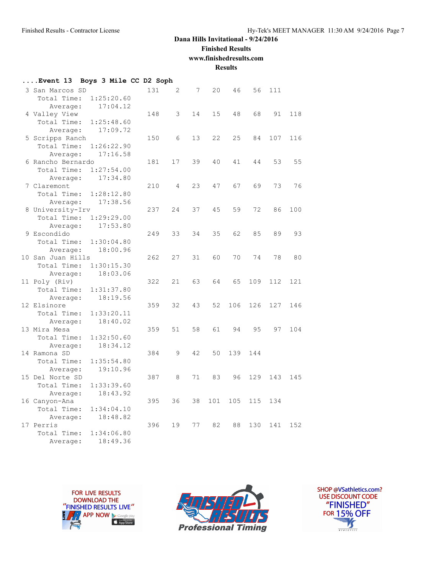# **Finished Results**

**www.finishedresults.com**

**Results**

| Event 13              | Boys 3 Mile CC D2 Soph |     |    |    |     |     |     |     |     |
|-----------------------|------------------------|-----|----|----|-----|-----|-----|-----|-----|
| 3 San Marcos SD       |                        | 131 | 2  | 7  | 20  | 46  | 56  | 111 |     |
| Total Time:           | 1:25:20.60             |     |    |    |     |     |     |     |     |
| Average:              | 17:04.12               |     |    |    |     |     |     |     |     |
| 4 Valley View         |                        | 148 | 3  | 14 | 15  | 48  | 68  | 91  | 118 |
| Total Time:           | 1:25:48.60             |     |    |    |     |     |     |     |     |
| Average:              | 17:09.72               |     |    |    |     |     |     |     |     |
| 5 Scripps Ranch       |                        | 150 | 6  | 13 | 22  | 25  | 84  | 107 | 116 |
| Total Time:           | 1:26:22.90             |     |    |    |     |     |     |     |     |
| Average:              | 17:16.58               |     |    |    |     |     |     |     |     |
| 6 Rancho Bernardo     |                        | 181 | 17 | 39 | 40  | 41  | 44  | 53  | 55  |
| Total Time:           | 1:27:54.00             |     |    |    |     |     |     |     |     |
| Average:              | 17:34.80               |     |    |    |     |     |     |     |     |
| 7 Claremont           |                        | 210 | 4  | 23 | 47  | 67  | 69  | 73  | 76  |
| Total Time:           | 1:28:12.80             |     |    |    |     |     |     |     |     |
| Average:              | 17:38.56               |     |    |    |     |     |     |     |     |
| 8 University-Irv      |                        | 237 | 24 | 37 | 45  | 59  | 72  | 86  | 100 |
| Total Time:           | 1:29:29.00             |     |    |    |     |     |     |     |     |
| Average:              | 17:53.80               |     |    |    |     |     |     |     |     |
| 9 Escondido           |                        | 249 | 33 | 34 | 35  | 62  | 85  | 89  | 93  |
| Total Time:           | 1:30:04.80             |     |    |    |     |     |     |     |     |
| Average:              | 18:00.96               |     |    |    |     |     |     |     |     |
| 10 San Juan Hills     |                        | 262 | 27 | 31 | 60  | 70  | 74  | 78  | 80  |
| Total Time:           | 1:30:15.30             |     |    |    |     |     |     |     |     |
| Average:              | 18:03.06               |     |    |    |     |     |     |     |     |
| 11 Poly (Riv)         |                        | 322 | 21 | 63 | 64  | 65  | 109 | 112 | 121 |
| Total Time:           | 1:31:37.80             |     |    |    |     |     |     |     |     |
| Average:              | 18:19.56               |     |    |    |     |     |     |     |     |
| 12 Elsinore           |                        | 359 | 32 | 43 | 52  | 106 | 126 | 127 | 146 |
| Total Time:           | 1:33:20.11             |     |    |    |     |     |     |     |     |
| Average:              | 18:40.02               |     |    |    |     |     |     |     |     |
| 13 Mira Mesa          |                        | 359 | 51 | 58 | 61  | 94  | 95  | 97  | 104 |
| Total Time:           | 1:32:50.60             |     |    |    |     |     |     |     |     |
| Average:              | 18:34.12               |     |    |    |     |     |     |     |     |
| 14 Ramona SD          |                        | 384 | 9  | 42 | 50  | 139 | 144 |     |     |
| Total Time:           | 1:35:54.80             |     |    |    |     |     |     |     |     |
| Average:              | 19:10.96               |     |    |    |     |     |     |     |     |
| 15 Del Norte SD       |                        | 387 | 8  | 71 | 83  | 96  | 129 | 143 | 145 |
| Total Time:           | 1:33:39.60             |     |    |    |     |     |     |     |     |
| Average:              | 18:43.92               |     |    |    |     |     |     |     |     |
| 16 Canyon-Ana         |                        | 395 | 36 | 38 | 101 | 105 | 115 | 134 |     |
| Total Time:           | 1:34:04.10             |     |    |    |     |     |     |     |     |
| Average:<br>17 Perris | 18:48.82               | 396 | 19 | 77 | 82  | 88  | 130 | 141 | 152 |
| Total Time:           | 1:34:06.80             |     |    |    |     |     |     |     |     |
|                       | 18:49.36               |     |    |    |     |     |     |     |     |
| Average:              |                        |     |    |    |     |     |     |     |     |





SHOP @VSathletics.com? USE DISCOUNT CODE "FINISHED" **FOR 15% OFF**  $\frac{1}{\sqrt{2}}$